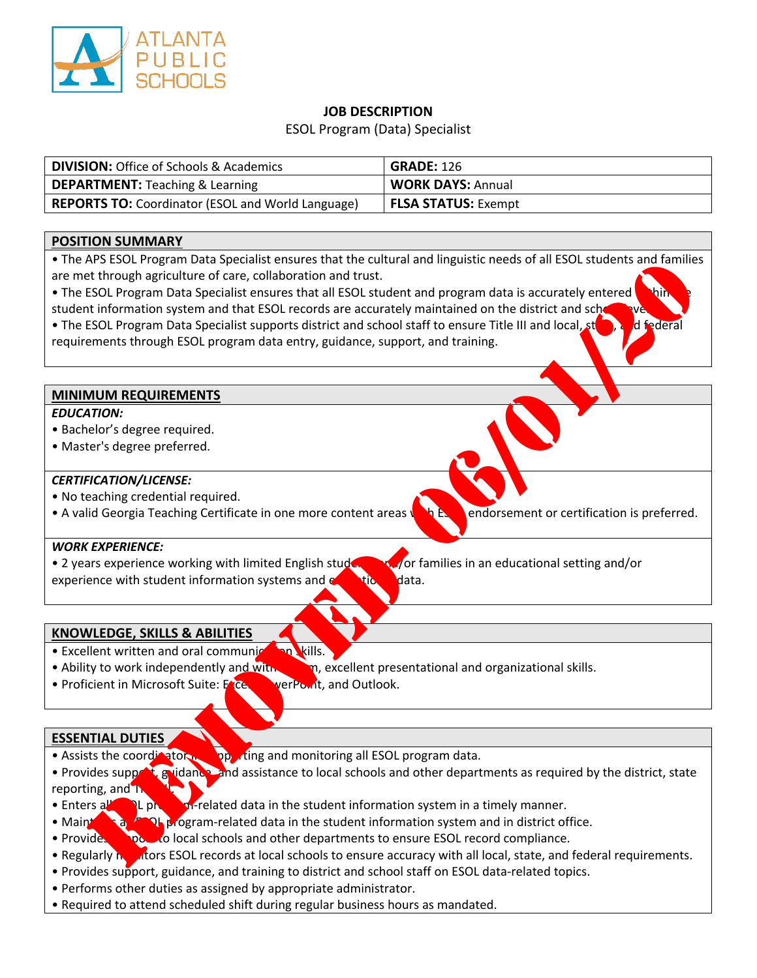

## **JOB DESCRIPTION**

ESOL Program (Data) Specialist

| <b>DIVISION: Office of Schools &amp; Academics</b>       | <b>GRADE: 126</b>          |
|----------------------------------------------------------|----------------------------|
| <b>DEPARTMENT:</b> Teaching & Learning                   | <b>WORK DAYS: Annual</b>   |
| <b>REPORTS TO: Coordinator (ESOL and World Language)</b> | <b>FLSA STATUS: Exempt</b> |

## **POSITION SUMMARY**

• The APS ESOL Program Data Specialist ensures that the cultural and linguistic needs of all ESOL students and families are met through agriculture of care, collaboration and trust.

• The ESOL Program Data Specialist ensures that all ESOL student and program data is accurately entered student information system and that ESOL records are accurately maintained on the district and scho • The ESOL Program Data Specialist supports district and school staff to ensure Title III and local, step, and federal requirements through ESOL program data entry, guidance, support, and training. VIS SOL Program Data Specialist ensuite and including and propose to all ESOL students and tamentations and tax<br>
The through agriculture of care, collaboration and trust.<br>
ESOL Program Data Specialist ensures that all ESOL

#### **MINIMUM REQUIREMENTS**

#### *EDUCATION:*

- Bachelor's degree required.
- Master's degree preferred.

#### *CERTIFICATION/LICENSE:*

- No teaching credential required.
- A valid Georgia Teaching Certificate in one more content areas  $\sqrt{N}$  Esolendorsement or certification is preferred.

#### *WORK EXPERIENCE:*

• 2 years experience working with limited English students and/or families in an educational setting and/or experience with student information systems and  $e^{\pm i\alpha}$  data.

## **KNOWLEDGE, SKILLS & ABILITIES**

- Excellent written and oral communication skills.
- Ability to work independently and with  $\Box$  and  $\Box$  are negales presentational and organizational skills.
- Proficient in Microsoft Suite: Excel, PowerPoint, and Outlook.

#### **ESSENTIAL DUTIES**

• Assists the coordinator in supporting and monitoring all ESOL program data.

• Provides support, guidance, and assistance to local schools and other departments as required by the district, state reporting, and  $T_1$ 

- Enters all **Estimate in the student information system in a timely manner.**
- Maintains and in district office.
- Provides support to local schools and other departments to ensure ESOL record compliance.
- Regularly monitors ESOL records at local schools to ensure accuracy with all local, state, and federal requirements.
- Provides support, guidance, and training to district and school staff on ESOL data-related topics.
- Performs other duties as assigned by appropriate administrator.
- Required to attend scheduled shift during regular business hours as mandated.